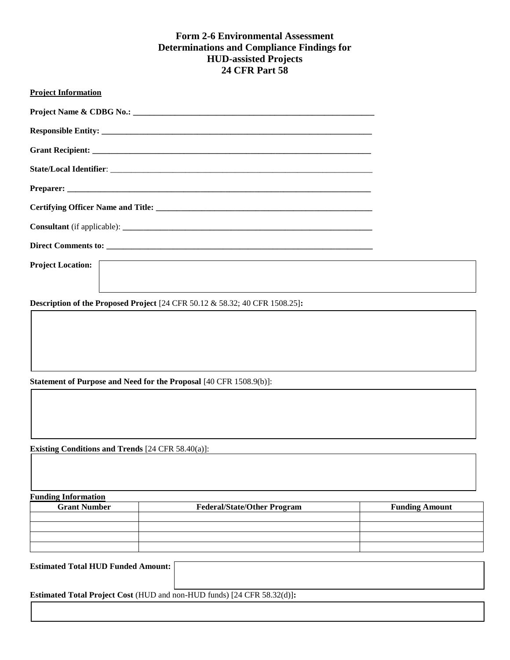# **Form 2-6 Environmental Assessment Determinations and Compliance Findings for HUD-assisted Projects 24 CFR Part 58**

| <b>Project Information</b> |                                                                                       |  |
|----------------------------|---------------------------------------------------------------------------------------|--|
|                            |                                                                                       |  |
|                            |                                                                                       |  |
|                            |                                                                                       |  |
|                            |                                                                                       |  |
|                            |                                                                                       |  |
|                            |                                                                                       |  |
|                            |                                                                                       |  |
|                            |                                                                                       |  |
| <b>Project Location:</b>   |                                                                                       |  |
|                            | <b>Description of the Proposed Project</b> [24 CFR 50.12 $\&$ 58.32; 40 CFR 1508.25]: |  |
|                            |                                                                                       |  |
|                            |                                                                                       |  |

**Statement of Purpose and Need for the Proposal** [40 CFR 1508.9(b)]:

**Existing Conditions and Trends** [24 CFR 58.40(a)]:

**Funding Information**

| <b>Grant Number</b> | <b>Federal/State/Other Program</b> | <b>Funding Amount</b> |  |  |  |  |
|---------------------|------------------------------------|-----------------------|--|--|--|--|
|                     |                                    |                       |  |  |  |  |
|                     |                                    |                       |  |  |  |  |
|                     |                                    |                       |  |  |  |  |
|                     |                                    |                       |  |  |  |  |

**Estimated Total HUD Funded Amount:**

**Estimated Total Project Cost** (HUD and non-HUD funds) [24 CFR 58.32(d)]**:**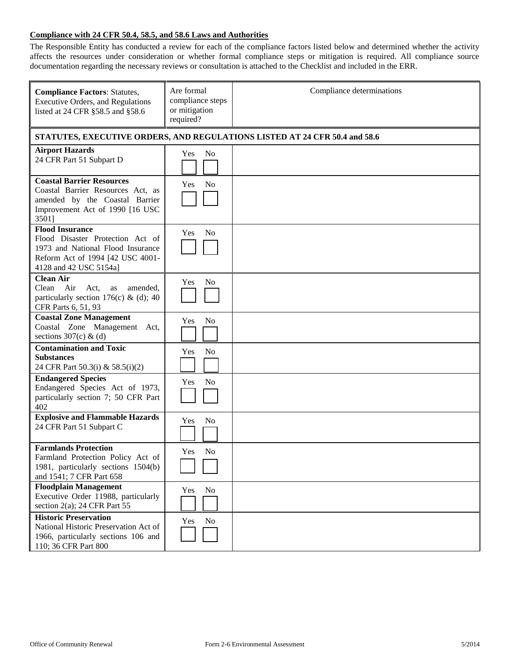## **Compliance with 24 CFR 50.4, 58.5, and 58.6 Laws and Authorities**

The Responsible Entity has conducted a review for each of the compliance factors listed below and determined whether the activity affects the resources under consideration or whether formal compliance steps or mitigation is required. All compliance source documentation regarding the necessary reviews or consultation is attached to the Checklist and included in the ERR.

| <b>Compliance Factors: Statutes,</b><br><b>Executive Orders, and Regulations</b><br>listed at 24 CFR §58.5 and §58.6                                          | Are formal<br>compliance steps<br>or mitigation<br>required?               | Compliance determinations |  |  |
|---------------------------------------------------------------------------------------------------------------------------------------------------------------|----------------------------------------------------------------------------|---------------------------|--|--|
|                                                                                                                                                               | STATUTES, EXECUTIVE ORDERS, AND REGULATIONS LISTED AT 24 CFR 50.4 and 58.6 |                           |  |  |
| <b>Airport Hazards</b><br>24 CFR Part 51 Subpart D                                                                                                            | N <sub>0</sub><br>Yes                                                      |                           |  |  |
| <b>Coastal Barrier Resources</b><br>Coastal Barrier Resources Act, as<br>amended by the Coastal Barrier<br>Improvement Act of 1990 [16 USC<br>3501]           | <b>No</b><br>Yes                                                           |                           |  |  |
| <b>Flood Insurance</b><br>Flood Disaster Protection Act of<br>1973 and National Flood Insurance<br>Reform Act of 1994 [42 USC 4001-<br>4128 and 42 USC 5154a1 | N <sub>0</sub><br>Yes                                                      |                           |  |  |
| <b>Clean Air</b><br>Air<br>Clean<br>Act,<br>amended,<br>as<br>particularly section 176(c) & (d); 40<br>CFR Parts 6, 51, 93                                    | N <sub>0</sub><br>Yes                                                      |                           |  |  |
| <b>Coastal Zone Management</b><br>Coastal Zone Management Act,<br>sections $307(c)$ & (d)                                                                     | N <sub>o</sub><br>Yes                                                      |                           |  |  |
| <b>Contamination and Toxic</b><br><b>Substances</b><br>24 CFR Part 50.3(i) & 58.5(i)(2)                                                                       | N <sub>o</sub><br>Yes                                                      |                           |  |  |
| <b>Endangered Species</b><br>Endangered Species Act of 1973,<br>particularly section 7; 50 CFR Part<br>402                                                    | N <sub>0</sub><br>Yes                                                      |                           |  |  |
| <b>Explosive and Flammable Hazards</b><br>24 CFR Part 51 Subpart C                                                                                            | N <sub>o</sub><br>Yes                                                      |                           |  |  |
| <b>Farmlands Protection</b><br>Farmland Protection Policy Act of<br>1981, particularly sections 1504(b)<br>and 1541; 7 CFR Part 658                           | Yes<br>N <sub>0</sub>                                                      |                           |  |  |
| <b>Floodplain Management</b><br>Executive Order 11988, particularly<br>section $2(a)$ ; 24 CFR Part 55                                                        | No<br>Yes                                                                  |                           |  |  |
| <b>Historic Preservation</b><br>National Historic Preservation Act of<br>1966, particularly sections 106 and<br>110; 36 CFR Part 800                          | <b>No</b><br>Yes                                                           |                           |  |  |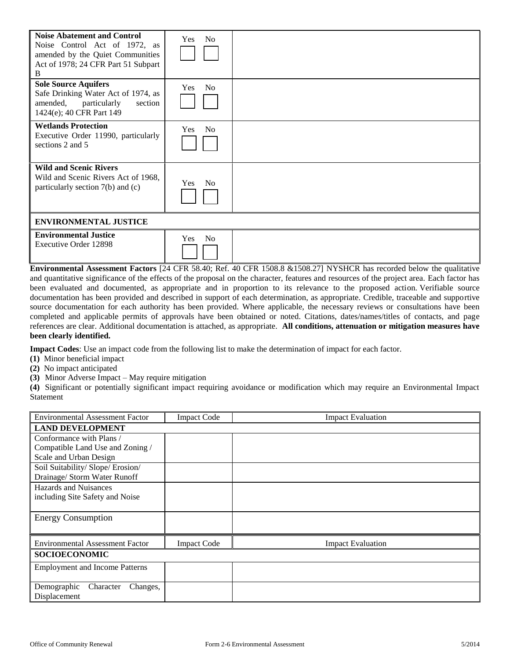| <b>Noise Abatement and Control</b><br>Noise Control Act of 1972, as<br>amended by the Quiet Communities<br>Act of 1978; 24 CFR Part 51 Subpart<br>B | <b>No</b><br><b>Yes</b> |  |
|-----------------------------------------------------------------------------------------------------------------------------------------------------|-------------------------|--|
| <b>Sole Source Aquifers</b><br>Safe Drinking Water Act of 1974, as<br>amended,<br>particularly<br>section<br>1424(e); 40 CFR Part 149               | <b>No</b><br><b>Yes</b> |  |
| <b>Wetlands Protection</b><br>Executive Order 11990, particularly<br>sections 2 and 5                                                               | <b>No</b><br><b>Yes</b> |  |
| <b>Wild and Scenic Rivers</b><br>Wild and Scenic Rivers Act of 1968.<br>particularly section 7(b) and (c)                                           | Yes<br><b>No</b>        |  |
| <b>ENVIRONMENTAL JUSTICE</b>                                                                                                                        |                         |  |
| <b>Environmental Justice</b><br>Executive Order 12898                                                                                               | N <sub>o</sub><br>Yes   |  |

**Environmental Assessment Factors** [24 CFR 58.40; Ref. 40 CFR 1508.8 &1508.27] NYSHCR has recorded below the qualitative and quantitative significance of the effects of the proposal on the character, features and resources of the project area. Each factor has been evaluated and documented, as appropriate and in proportion to its relevance to the proposed action. Verifiable source documentation has been provided and described in support of each determination, as appropriate. Credible, traceable and supportive source documentation for each authority has been provided. Where applicable, the necessary reviews or consultations have been completed and applicable permits of approvals have been obtained or noted. Citations, dates/names/titles of contacts, and page references are clear. Additional documentation is attached, as appropriate. **All conditions, attenuation or mitigation measures have been clearly identified.**

**Impact Codes**: Use an impact code from the following list to make the determination of impact for each factor.

- **(1)** Minor beneficial impact
- **(2)** No impact anticipated
- **(3)** Minor Adverse Impact May require mitigation

**(4)** Significant or potentially significant impact requiring avoidance or modification which may require an Environmental Impact Statement

| <b>Environmental Assessment Factor</b> | <b>Impact Code</b> | <b>Impact Evaluation</b> |  |  |
|----------------------------------------|--------------------|--------------------------|--|--|
| <b>LAND DEVELOPMENT</b>                |                    |                          |  |  |
| Conformance with Plans /               |                    |                          |  |  |
| Compatible Land Use and Zoning /       |                    |                          |  |  |
| Scale and Urban Design                 |                    |                          |  |  |
| Soil Suitability/ Slope/ Erosion/      |                    |                          |  |  |
| Drainage/ Storm Water Runoff           |                    |                          |  |  |
| <b>Hazards and Nuisances</b>           |                    |                          |  |  |
| including Site Safety and Noise        |                    |                          |  |  |
|                                        |                    |                          |  |  |
| <b>Energy Consumption</b>              |                    |                          |  |  |
|                                        |                    |                          |  |  |
| <b>Environmental Assessment Factor</b> | <b>Impact Code</b> | <b>Impact Evaluation</b> |  |  |
| <b>SOCIOECONOMIC</b>                   |                    |                          |  |  |
| <b>Employment and Income Patterns</b>  |                    |                          |  |  |
|                                        |                    |                          |  |  |
| Demographic<br>Character<br>Changes,   |                    |                          |  |  |
| Displacement                           |                    |                          |  |  |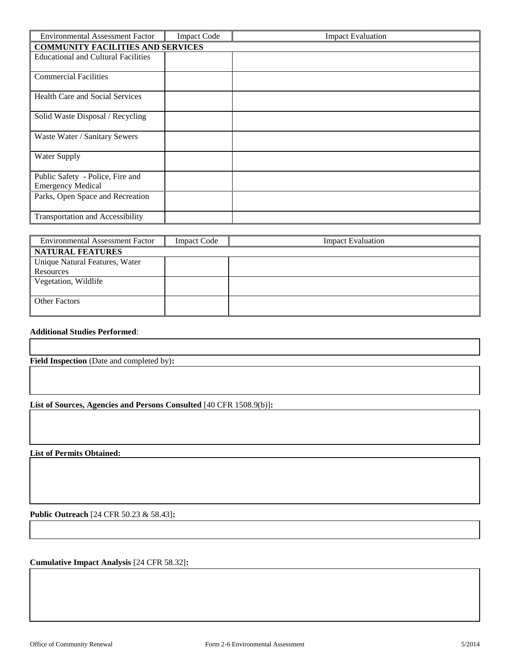| <b>Environmental Assessment Factor</b>                       | <b>Impact Code</b> | <b>Impact Evaluation</b> |  |
|--------------------------------------------------------------|--------------------|--------------------------|--|
| <b>COMMUNITY FACILITIES AND SERVICES</b>                     |                    |                          |  |
| <b>Educational and Cultural Facilities</b>                   |                    |                          |  |
| <b>Commercial Facilities</b>                                 |                    |                          |  |
| <b>Health Care and Social Services</b>                       |                    |                          |  |
| Solid Waste Disposal / Recycling                             |                    |                          |  |
| Waste Water / Sanitary Sewers                                |                    |                          |  |
| Water Supply                                                 |                    |                          |  |
| Public Safety - Police, Fire and<br><b>Emergency Medical</b> |                    |                          |  |
| Parks, Open Space and Recreation                             |                    |                          |  |
| <b>Transportation and Accessibility</b>                      |                    |                          |  |

| <b>Environmental Assessment Factor</b> | <b>Impact Code</b> | <b>Impact Evaluation</b> |  |  |
|----------------------------------------|--------------------|--------------------------|--|--|
| <b>NATURAL FEATURES</b>                |                    |                          |  |  |
| Unique Natural Features, Water         |                    |                          |  |  |
| Resources                              |                    |                          |  |  |
| Vegetation, Wildlife                   |                    |                          |  |  |
|                                        |                    |                          |  |  |
| <b>Other Factors</b>                   |                    |                          |  |  |
|                                        |                    |                          |  |  |

### **Additional Studies Performed**:

**Field Inspection** (Date and completed by)**:** 

**List of Sources, Agencies and Persons Consulted** [40 CFR 1508.9(b)]**:**

**List of Permits Obtained:** 

**Public Outreach** [24 CFR 50.23 & 58.43]**:**

**Cumulative Impact Analysis** [24 CFR 58.32]**:**